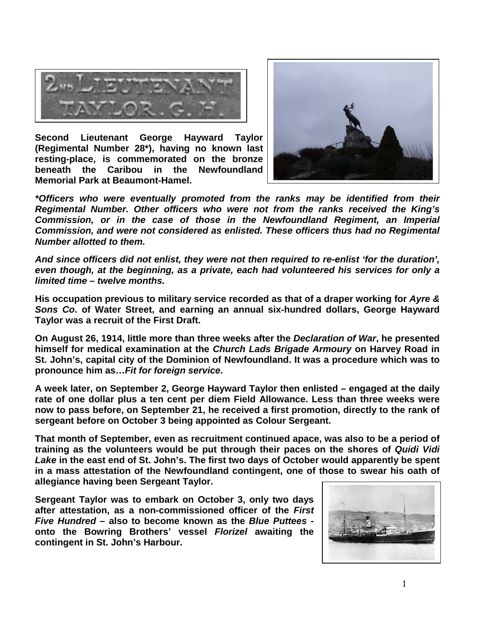

**Second Lieutenant George Hayward Taylor (Regimental Number 28\*), having no known last resting-place, is commemorated on the bronze beneath the Caribou in the Newfoundland Memorial Park at Beaumont-Hamel.**



*\*Officers who were eventually promoted from the ranks may be identified from their Regimental Number. Other officers who were not from the ranks received the King's Commission, or in the case of those in the Newfoundland Regiment, an Imperial Commission, and were not considered as enlisted. These officers thus had no Regimental Number allotted to them.*

*And since officers did not enlist, they were not then required to re-enlist 'for the duration', even though, at the beginning, as a private, each had volunteered his services for only a limited time – twelve months.*

**His occupation previous to military service recorded as that of a draper working for** *Ayre & Sons Co***. of Water Street, and earning an annual six-hundred dollars, George Hayward Taylor was a recruit of the First Draft.**

**On August 26, 1914, little more than three weeks after the** *Declaration of War***, he presented himself for medical examination at the** *Church Lads Brigade Armoury* **on Harvey Road in St. John's, capital city of the Dominion of Newfoundland. It was a procedure which was to pronounce him as…***Fit for foreign service***.** 

**A week later, on September 2, George Hayward Taylor then enlisted – engaged at the daily rate of one dollar plus a ten cent per diem Field Allowance. Less than three weeks were now to pass before, on September 21, he received a first promotion, directly to the rank of sergeant before on October 3 being appointed as Colour Sergeant.**

**That month of September, even as recruitment continued apace, was also to be a period of training as the volunteers would be put through their paces on the shores of** *Quidi Vidi Lake* **in the east end of St. John's. The first two days of October would apparently be spent in a mass attestation of the Newfoundland contingent, one of those to swear his oath of allegiance having been Sergeant Taylor.**

**Sergeant Taylor was to embark on October 3, only two days after attestation, as a non-commissioned officer of the** *First Five Hundred* **– also to become known as the** *Blue Puttees*  **onto the Bowring Brothers' vessel** *Florizel* **awaiting the contingent in St. John's Harbour.**

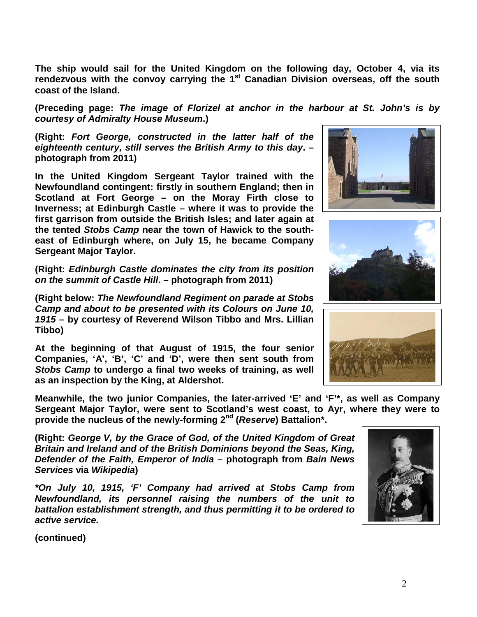**The ship would sail for the United Kingdom on the following day, October 4, via its rendezvous with the convoy carrying the 1st Canadian Division overseas, off the south coast of the Island.** 

**(Preceding page:** *The image of Florizel at anchor in the harbour at St. John's is by courtesy of Admiralty House Museum***.)**

**(Right:** *Fort George, constructed in the latter half of the eighteenth century, still serves the British Army to this day***. – photograph from 2011)**

**In the United Kingdom Sergeant Taylor trained with the Newfoundland contingent: firstly in southern England; then in Scotland at Fort George – on the Moray Firth close to Inverness; at Edinburgh Castle – where it was to provide the first garrison from outside the British Isles; and later again at the tented** *Stobs Camp* **near the town of Hawick to the southeast of Edinburgh where, on July 15, he became Company Sergeant Major Taylor.**

**(Right:** *Edinburgh Castle dominates the city from its position on the summit of Castle Hill***. – photograph from 2011)** 

**(Right below:** *The Newfoundland Regiment on parade at Stobs Camp and about to be presented with its Colours on June 10, 1915* **– by courtesy of Reverend Wilson Tibbo and Mrs. Lillian Tibbo)**

**At the beginning of that August of 1915, the four senior Companies, 'A', 'B', 'C' and 'D', were then sent south from**  *Stobs Camp* **to undergo a final two weeks of training, as well as an inspection by the King, at Aldershot.** 

**Meanwhile, the two junior Companies, the later-arrived 'E' and 'F'\*, as well as Company Sergeant Major Taylor, were sent to Scotland's west coast, to Ayr, where they were to provide the nucleus of the newly-forming 2nd (***Reserve***) Battalion\*.**

**(Right:** *George V, by the Grace of God, of the United Kingdom of Great Britain and Ireland and of the British Dominions beyond the Seas, King, Defender of the Faith, Emperor of India* **– photograph from** *Bain News Services* **via** *Wikipedia***)**

*\*On July 10, 1915, 'F' Company had arrived at Stobs Camp from Newfoundland, its personnel raising the numbers of the unit to battalion establishment strength, and thus permitting it to be ordered to active service.*

**(continued)**







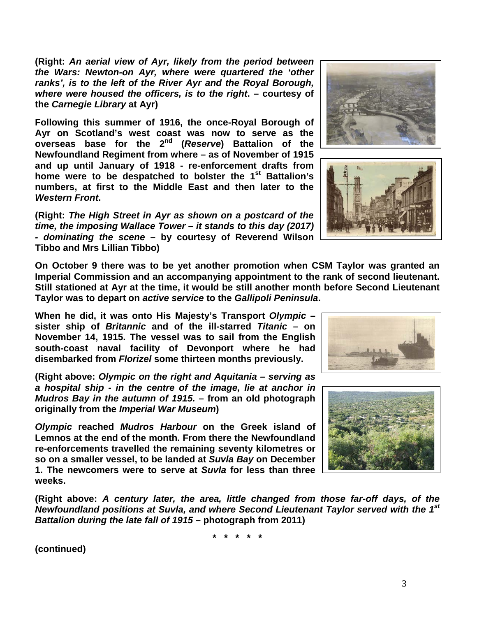**(Right:** *An aerial view of Ayr, likely from the period between the Wars: Newton-on Ayr, where were quartered the 'other ranks', is to the left of the River Ayr and the Royal Borough, where were housed the officers, is to the right***. – courtesy of the** *Carnegie Library* **at Ayr)**

**Following this summer of 1916, the once-Royal Borough of Ayr on Scotland's west coast was now to serve as the overseas base for the 2nd (***Reserve***) Battalion of the Newfoundland Regiment from where – as of November of 1915 and up until January of 1918 - re-enforcement drafts from home were to be despatched to bolster the 1st Battalion's numbers, at first to the Middle East and then later to the**  *Western Front***.** 

**(Right:** *The High Street in Ayr as shown on a postcard of the time, the imposing Wallace Tower – it stands to this day (2017) - dominating the scene* **– by courtesy of Reverend Wilson Tibbo and Mrs Lillian Tibbo)**

**On October 9 there was to be yet another promotion when CSM Taylor was granted an Imperial Commission and an accompanying appointment to the rank of second lieutenant. Still stationed at Ayr at the time, it would be still another month before Second Lieutenant** 

**November 14, 1915. The vessel was to sail from the English south-coast naval facility of Devonport where he had disembarked from** *Florizel* **some thirteen months previously.**

**(Right above:** *Olympic on the right and Aquitania – serving as a hospital ship - in the centre of the image, lie at anchor in Mudros Bay in the autumn of 1915.* **– from an old photograph originally from the** *Imperial War Museum***)**

*Olympic* **reached** *Mudros Harbour* **on the Greek island of Lemnos at the end of the month. From there the Newfoundland re-enforcements travelled the remaining seventy kilometres or so on a smaller vessel, to be landed at** *Suvla Bay* **on December 1. The newcomers were to serve at** *Suvla* **for less than three weeks.**

**(Right above:** *A century later, the area, little changed from those far-off days, of the Newfoundland positions at Suvla, and where Second Lieutenant Taylor served with the 1st Battalion during the late fall of 1915* **– photograph from 2011)**

**\* \* \* \* \***

**(continued)**









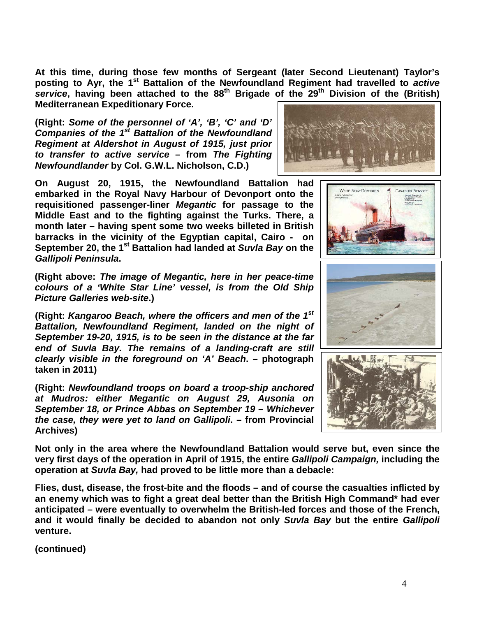**At this time, during those few months of Sergeant (later Second Lieutenant) Taylor's posting to Ayr, the 1st Battalion of the Newfoundland Regiment had travelled to** *active service***, having been attached to the 88th Brigade of the 29th Division of the (British) Mediterranean Expeditionary Force.**

**(Right:** *Some of the personnel of 'A', 'B', 'C' and 'D' Companies of the 1st Battalion of the Newfoundland Regiment at Aldershot in August of 1915, just prior to transfer to active service* **– from** *The Fighting Newfoundlander* **by Col. G.W.L. Nicholson, C.D.)**

**On August 20, 1915, the Newfoundland Battalion had embarked in the Royal Navy Harbour of Devonport onto the requisitioned passenger-liner** *Megantic* **for passage to the Middle East and to the fighting against the Turks. There, a month later – having spent some two weeks billeted in British barracks in the vicinity of the Egyptian capital, Cairo - on September 20, the 1st Battalion had landed at** *Suvla Bay* **on the**  *Gallipoli Peninsula***.**

**(Right above:** *The image of Megantic, here in her peace-time colours of a 'White Star Line' vessel, is from the Old Ship Picture Galleries web-site***.)**

**(Right:** *Kangaroo Beach, where the officers and men of the 1st Battalion, Newfoundland Regiment, landed on the night of September 19-20, 1915, is to be seen in the distance at the far end of Suvla Bay. The remains of a landing-craft are still clearly visible in the foreground on 'A' Beach***. – photograph taken in 2011)**

**(Right:** *Newfoundland troops on board a troop-ship anchored at Mudros: either Megantic on August 29, Ausonia on September 18, or Prince Abbas on September 19 – Whichever the case, they were yet to land on Gallipoli***. – from Provincial Archives)**









**Not only in the area where the Newfoundland Battalion would serve but, even since the very first days of the operation in April of 1915, the entire** *Gallipoli Campaign,* **including the operation at** *Suvla Bay,* **had proved to be little more than a debacle:** 

**Flies, dust, disease, the frost-bite and the floods – and of course the casualties inflicted by an enemy which was to fight a great deal better than the British High Command\* had ever anticipated – were eventually to overwhelm the British-led forces and those of the French, and it would finally be decided to abandon not only** *Suvla Bay* **but the entire** *Gallipoli* **venture.**

**(continued)**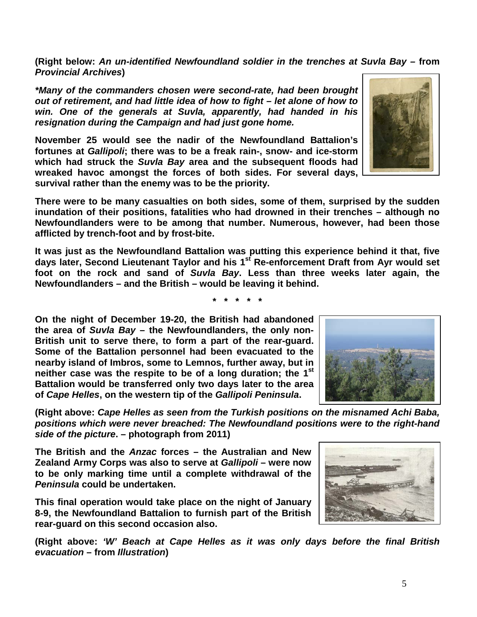5

**(Right below:** *An un-identified Newfoundland soldier in the trenches at Suvla Bay –* **from**  *Provincial Archives***)**

*\*Many of the commanders chosen were second-rate, had been brought out of retirement, and had little idea of how to fight – let alone of how to win. One of the generals at Suvla, apparently, had handed in his resignation during the Campaign and had just gone home.* 

**November 25 would see the nadir of the Newfoundland Battalion's fortunes at** *Gallipoli***; there was to be a freak rain-, snow- and ice-storm which had struck the** *Suvla Bay* **area and the subsequent floods had wreaked havoc amongst the forces of both sides. For several days, survival rather than the enemy was to be the priority.**

**There were to be many casualties on both sides, some of them, surprised by the sudden inundation of their positions, fatalities who had drowned in their trenches – although no Newfoundlanders were to be among that number. Numerous, however, had been those afflicted by trench-foot and by frost-bite.**

**It was just as the Newfoundland Battalion was putting this experience behind it that, five days later, Second Lieutenant Taylor and his 1st Re-enforcement Draft from Ayr would set foot on the rock and sand of** *Suvla Bay***. Less than three weeks later again, the Newfoundlanders – and the British – would be leaving it behind.**

**\* \* \* \* \***

**On the night of December 19-20, the British had abandoned the area of** *Suvla Bay* **– the Newfoundlanders, the only non-British unit to serve there, to form a part of the rear-guard. Some of the Battalion personnel had been evacuated to the nearby island of Imbros, some to Lemnos, further away, but in neither case was the respite to be of a long duration; the 1st Battalion would be transferred only two days later to the area of** *Cape Helles***, on the western tip of the** *Gallipoli Peninsula***.**

**(Right above:** *Cape Helles as seen from the Turkish positions on the misnamed Achi Baba, positions which were never breached: The Newfoundland positions were to the right-hand side of the picture***. – photograph from 2011)**

**The British and the** *Anzac* **forces – the Australian and New Zealand Army Corps was also to serve at** *Gallipoli* **– were now to be only marking time until a complete withdrawal of the**  *Peninsula* **could be undertaken.** 

**This final operation would take place on the night of January 8-9, the Newfoundland Battalion to furnish part of the British rear-guard on this second occasion also.**

**(Right above:** *'W' Beach at Cape Helles as it was only days before the final British evacuation* **– from** *Illustration***)**





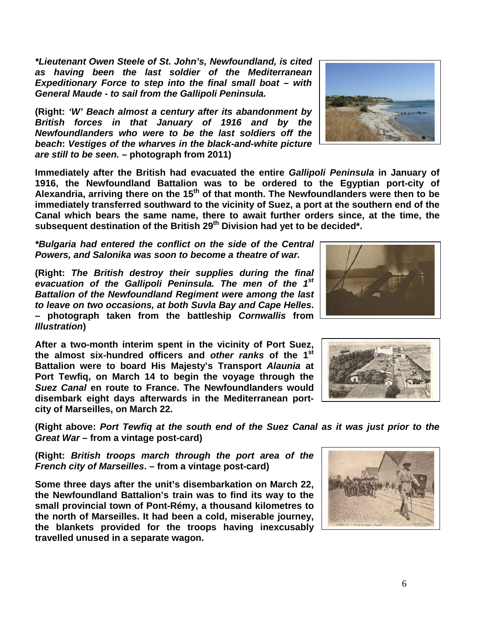*\*Lieutenant Owen Steele of St. John's, Newfoundland, is cited as having been the last soldier of the Mediterranean Expeditionary Force to step into the final small boat – with General Maude - to sail from the Gallipoli Peninsula.*

**(Right:** *'W' Beach almost a century after its abandonment by British forces in that January of 1916 and by the Newfoundlanders who were to be the last soldiers off the beach***:** *Vestiges of the wharves in the black-and-white picture are still to be seen.* **– photograph from 2011)**

**Immediately after the British had evacuated the entire** *Gallipoli Peninsula* **in January of 1916, the Newfoundland Battalion was to be ordered to the Egyptian port-city of Alexandria, arriving there on the 15th of that month. The Newfoundlanders were then to be immediately transferred southward to the vicinity of Suez, a port at the southern end of the Canal which bears the same name, there to await further orders since, at the time, the**  subsequent destination of the British 29<sup>th</sup> Division had yet to be decided<sup>\*</sup>.

*\*Bulgaria had entered the conflict on the side of the Central Powers, and Salonika was soon to become a theatre of war.*

**(Right:** *The British destroy their supplies during the final evacuation of the Gallipoli Peninsula. The men of the 1st Battalion of the Newfoundland Regiment were among the last to leave on two occasions, at both Suvla Bay and Cape Helles***. – photograph taken from the battleship** *Cornwallis* **from**  *Illustration***)**

**After a two-month interim spent in the vicinity of Port Suez, the almost six-hundred officers and** *other ranks* **of the 1st Battalion were to board His Majesty's Transport** *Alaunia* **at Port Tewfiq, on March 14 to begin the voyage through the**  *Suez Canal* **en route to France. The Newfoundlanders would disembark eight days afterwards in the Mediterranean portcity of Marseilles, on March 22.**

**(Right above:** *Port Tewfiq at the south end of the Suez Canal as it was just prior to the Great War* **– from a vintage post-card)**

**(Right:** *British troops march through the port area of the French city of Marseilles***. – from a vintage post-card)**

**Some three days after the unit's disembarkation on March 22, the Newfoundland Battalion's train was to find its way to the small provincial town of Pont-Rémy, a thousand kilometres to the north of Marseilles. It had been a cold, miserable journey, the blankets provided for the troops having inexcusably travelled unused in a separate wagon.**







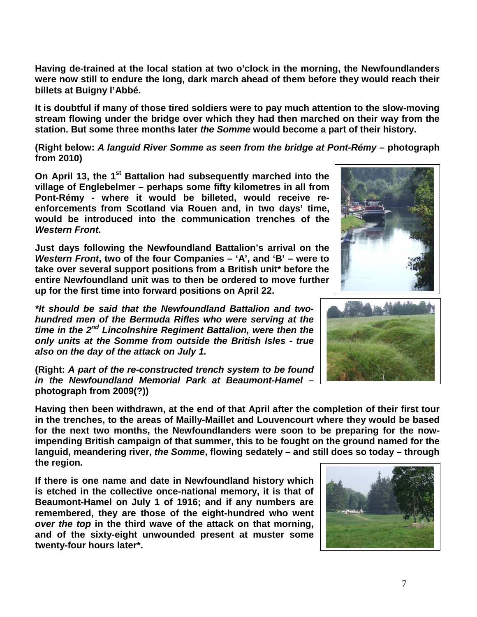**Having de-trained at the local station at two o'clock in the morning, the Newfoundlanders were now still to endure the long, dark march ahead of them before they would reach their billets at Buigny l'Abbé.**

**It is doubtful if many of those tired soldiers were to pay much attention to the slow-moving stream flowing under the bridge over which they had then marched on their way from the station. But some three months later** *the Somme* **would become a part of their history.**

**(Right below:** *A languid River Somme as seen from the bridge at Pont-Rémy* **– photograph from 2010)**

**On April 13, the 1<sup>st</sup> Battalion had subsequently marched into the village of Englebelmer – perhaps some fifty kilometres in all from Pont-Rémy - where it would be billeted, would receive reenforcements from Scotland via Rouen and, in two days' time, would be introduced into the communication trenches of the**  *Western Front.*

**Just days following the Newfoundland Battalion's arrival on the**  *Western Front***, two of the four Companies – 'A', and 'B' – were to take over several support positions from a British unit\* before the entire Newfoundland unit was to then be ordered to move further up for the first time into forward positions on April 22.**

*\*It should be said that the Newfoundland Battalion and twohundred men of the Bermuda Rifles who were serving at the time in the 2nd Lincolnshire Regiment Battalion, were then the only units at the Somme from outside the British Isles - true also on the day of the attack on July 1.*

**(Right:** *A part of the re-constructed trench system to be found in the Newfoundland Memorial Park at Beaumont-Hamel* **– photograph from 2009(?))**

**Having then been withdrawn, at the end of that April after the completion of their first tour in the trenches, to the areas of Mailly-Maillet and Louvencourt where they would be based for the next two months, the Newfoundlanders were soon to be preparing for the nowimpending British campaign of that summer, this to be fought on the ground named for the languid, meandering river,** *the Somme***, flowing sedately – and still does so today – through the region.** 

**If there is one name and date in Newfoundland history which is etched in the collective once-national memory, it is that of Beaumont-Hamel on July 1 of 1916; and if any numbers are remembered, they are those of the eight-hundred who went**  *over the top* **in the third wave of the attack on that morning, and of the sixty-eight unwounded present at muster some twenty-four hours later\*.**





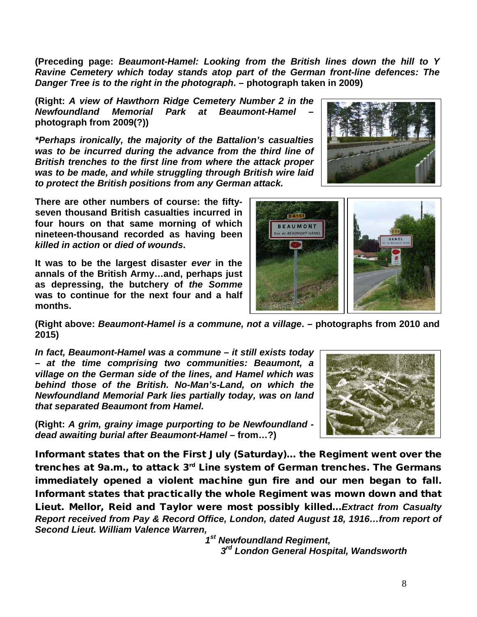**(Preceding page:** *Beaumont-Hamel: Looking from the British lines down the hill to Y Ravine Cemetery which today stands atop part of the German front-line defences: The Danger Tree is to the right in the photograph***. – photograph taken in 2009)**

**(Right:** *A view of Hawthorn Ridge Cemetery Number 2 in the Newfoundland Memorial Park at Beaumont-Hamel* **– photograph from 2009(?))**

*\*Perhaps ironically, the majority of the Battalion's casualties was to be incurred during the advance from the third line of British trenches to the first line from where the attack proper was to be made, and while struggling through British wire laid to protect the British positions from any German attack.*

**There are other numbers of course: the fiftyseven thousand British casualties incurred in four hours on that same morning of which nineteen-thousand recorded as having been**  *killed in action* **or** *died of wounds***.** 

**It was to be the largest disaster** *ever* **in the annals of the British Army…and, perhaps just as depressing, the butchery of** *the Somme* **was to continue for the next four and a half months.**



**(Right above:** *Beaumont-Hamel is a commune, not a village***. – photographs from 2010 and 2015)**

*In fact, Beaumont-Hamel was a commune – it still exists today – at the time comprising two communities: Beaumont, a village on the German side of the lines, and Hamel which was behind those of the British. No-Man's-Land, on which the Newfoundland Memorial Park lies partially today, was on land that separated Beaumont from Hamel.* 

**(Right:** *A grim, grainy image purporting to be Newfoundland dead awaiting burial after Beaumont-Hamel –* **from…?)**



Informant states that on the First July (Saturday)… the Regiment went over the trenches at 9a.m., to attack  $3<sup>rd</sup>$  Line system of German trenches. The Germans immediately opened a violent machine gun fire and our men began to fall. Informant states that practically the whole Regiment was mown down and that Lieut. Mellor, Reid and Taylor were most possibly killed…*Extract from Casualty Report received from Pay & Record Office, London, dated August 18, 1916…from report of Second Lieut. William Valence Warren,*

 *1st Newfoundland Regiment, 3rd London General Hospital, Wandsworth*